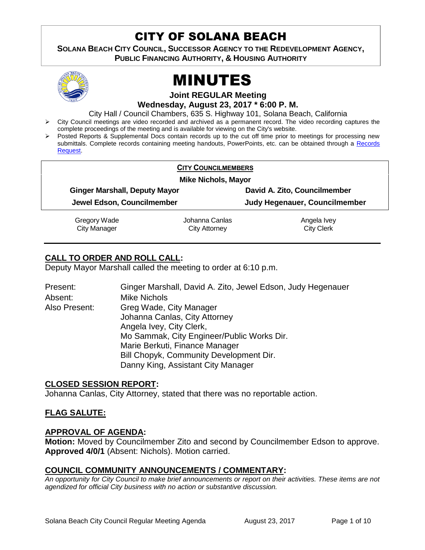## CITY OF SOLANA BEACH

**SOLANA BEACH CITY COUNCIL, SUCCESSOR AGENCY TO THE REDEVELOPMENT AGENCY, PUBLIC FINANCING AUTHORITY, & HOUSING AUTHORITY** 



# MINUTES

**Joint REGULAR Meeting Wednesday, August 23, 2017 \* 6:00 P. M.**

City Hall / Council Chambers, 635 S. Highway 101, Solana Beach, California

- $\triangleright$  City Council meetings are video recorded and archived as a permanent record. The video recording captures the complete proceedings of the meeting and is available for viewing on the City's website.
- Posted Reports & Supplemental Docs contain records up to the cut off time prior to meetings for processing new submittals. Complete records containing meeting handouts, PowerPoints, etc. can be obtained through a Records [Request.](http://www.ci.solana-beach.ca.us/index.asp?SEC=F5D45D10-70CE-4291-A27C-7BD633FC6742&Type=B_BASIC)

| <b>CITY COUNCILMEMBERS</b>           |                |                                      |  |  |  |
|--------------------------------------|----------------|--------------------------------------|--|--|--|
| <b>Mike Nichols, Mayor</b>           |                |                                      |  |  |  |
| <b>Ginger Marshall, Deputy Mayor</b> |                | David A. Zito, Councilmember         |  |  |  |
| Jewel Edson, Councilmember           |                | <b>Judy Hegenauer, Councilmember</b> |  |  |  |
| Gregory Wade                         | Johanna Canlas | Angela Ivey                          |  |  |  |
| <b>City Manager</b>                  | City Attorney  | <b>City Clerk</b>                    |  |  |  |

## **CALL TO ORDER AND ROLL CALL:**

Deputy Mayor Marshall called the meeting to order at 6:10 p.m.

| Present:      | Ginger Marshall, David A. Zito, Jewel Edson, Judy Hegenauer |  |
|---------------|-------------------------------------------------------------|--|
| Absent:       | <b>Mike Nichols</b>                                         |  |
| Also Present: | Greg Wade, City Manager                                     |  |
|               | Johanna Canlas, City Attorney                               |  |
|               | Angela Ivey, City Clerk,                                    |  |
|               | Mo Sammak, City Engineer/Public Works Dir.                  |  |
|               | Marie Berkuti, Finance Manager                              |  |
|               | Bill Chopyk, Community Development Dir.                     |  |
|               | Danny King, Assistant City Manager                          |  |

## **CLOSED SESSION REPORT:**

Johanna Canlas, City Attorney, stated that there was no reportable action.

## **FLAG SALUTE:**

#### **APPROVAL OF AGENDA:**

**Motion:** Moved by Councilmember Zito and second by Councilmember Edson to approve. **Approved 4/0/1** (Absent: Nichols). Motion carried.

#### **COUNCIL COMMUNITY ANNOUNCEMENTS / COMMENTARY:**

*An opportunity for City Council to make brief announcements or report on their activities. These items are not agendized for official City business with no action or substantive discussion.*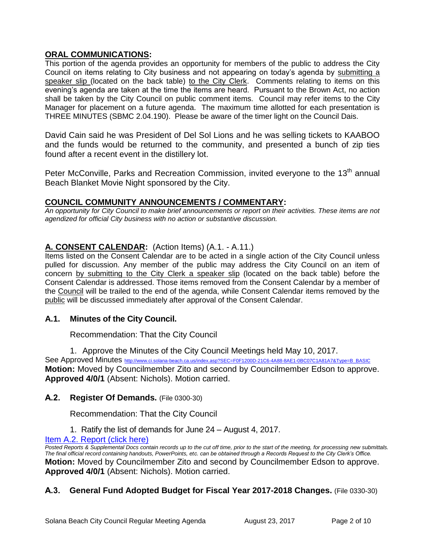## **ORAL COMMUNICATIONS:**

This portion of the agenda provides an opportunity for members of the public to address the City Council on items relating to City business and not appearing on today's agenda by submitting a speaker slip (located on the back table) to the City Clerk. Comments relating to items on this evening's agenda are taken at the time the items are heard. Pursuant to the Brown Act, no action shall be taken by the City Council on public comment items. Council may refer items to the City Manager for placement on a future agenda. The maximum time allotted for each presentation is THREE MINUTES (SBMC 2.04.190). Please be aware of the timer light on the Council Dais.

David Cain said he was President of Del Sol Lions and he was selling tickets to KAABOO and the funds would be returned to the community, and presented a bunch of zip ties found after a recent event in the distillery lot.

Peter McConville, Parks and Recreation Commission, invited everyone to the 13<sup>th</sup> annual Beach Blanket Movie Night sponsored by the City.

## **COUNCIL COMMUNITY ANNOUNCEMENTS / COMMENTARY:**

*An opportunity for City Council to make brief announcements or report on their activities. These items are not agendized for official City business with no action or substantive discussion.* 

## **A. CONSENT CALENDAR:** (Action Items) (A.1. - A.11.)

Items listed on the Consent Calendar are to be acted in a single action of the City Council unless pulled for discussion. Any member of the public may address the City Council on an item of concern by submitting to the City Clerk a speaker slip (located on the back table) before the Consent Calendar is addressed. Those items removed from the Consent Calendar by a member of the Council will be trailed to the end of the agenda, while Consent Calendar items removed by the public will be discussed immediately after approval of the Consent Calendar.

## **A.1. Minutes of the City Council.**

Recommendation: That the City Council

1. Approve the Minutes of the City Council Meetings held May 10, 2017.

See Approved Minutes [http://www.ci.solana-beach.ca.us/index.asp?SEC=F0F1200D-21C6-4A88-8AE1-0BC07C1A81A7&Type=B\\_BASIC](http://www.ci.solana-beach.ca.us/index.asp?SEC=F0F1200D-21C6-4A88-8AE1-0BC07C1A81A7&Type=B_BASIC) **Motion:** Moved by Councilmember Zito and second by Councilmember Edson to approve. **Approved 4/0/1** (Absent: Nichols). Motion carried.

## **A.2. Register Of Demands.** (File 0300-30)

Recommendation: That the City Council

1. Ratify the list of demands for June 24 – August 4, 2017.

[Item A.2. Report \(click here\)](https://solanabeach.govoffice3.com/vertical/Sites/%7B840804C2-F869-4904-9AE3-720581350CE7%7D/uploads/Item_A.2._Report_(click_here)_-_8-23-17.PDF)

*Posted Reports & Supplemental Docs contain records up to the cut off time, prior to the start of the meeting, for processing new submittals. The final official record containing handouts, PowerPoints, etc. can be obtained through a Records Request to the City Clerk's Office.* **Motion:** Moved by Councilmember Zito and second by Councilmember Edson to approve. **Approved 4/0/1** (Absent: Nichols). Motion carried.

## **A.3. General Fund Adopted Budget for Fiscal Year 2017-2018 Changes.** (File 0330-30)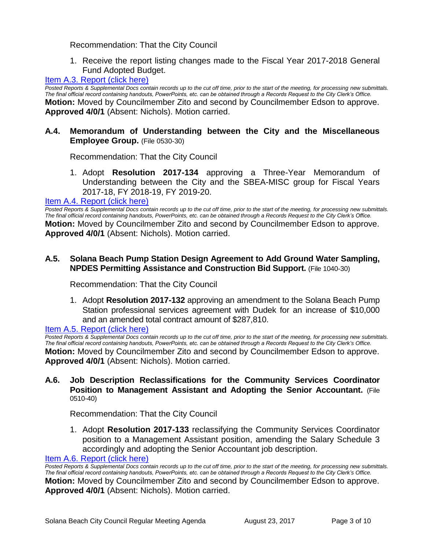Recommendation: That the City Council

1. Receive the report listing changes made to the Fiscal Year 2017-2018 General Fund Adopted Budget.

## [Item A.3. Report \(click here\)](https://solanabeach.govoffice3.com/vertical/Sites/%7B840804C2-F869-4904-9AE3-720581350CE7%7D/uploads/Item_A.3._Report_(click_here)_-_8-23-17.PDF)

*Posted Reports & Supplemental Docs contain records up to the cut off time, prior to the start of the meeting, for processing new submittals. The final official record containing handouts, PowerPoints, etc. can be obtained through a Records Request to the City Clerk's Office.* **Motion:** Moved by Councilmember Zito and second by Councilmember Edson to approve. **Approved 4/0/1** (Absent: Nichols). Motion carried.

## **A.4. Memorandum of Understanding between the City and the Miscellaneous Employee Group.** (File 0530-30)

Recommendation: That the City Council

1. Adopt **Resolution 2017-134** approving a Three-Year Memorandum of Understanding between the City and the SBEA-MISC group for Fiscal Years 2017-18, FY 2018-19, FY 2019-20.

#### [Item A.4. Report \(click here\)](https://solanabeach.govoffice3.com/vertical/Sites/%7B840804C2-F869-4904-9AE3-720581350CE7%7D/uploads/Item_A.4._Report_(click_here)_-_8-23-17.PDF)

*Posted Reports & Supplemental Docs contain records up to the cut off time, prior to the start of the meeting, for processing new submittals. The final official record containing handouts, PowerPoints, etc. can be obtained through a Records Request to the City Clerk's Office.* **Motion:** Moved by Councilmember Zito and second by Councilmember Edson to approve. **Approved 4/0/1** (Absent: Nichols). Motion carried.

## **A.5. Solana Beach Pump Station Design Agreement to Add Ground Water Sampling, NPDES Permitting Assistance and Construction Bid Support.** (File 1040-30)

Recommendation: That the City Council

1. Adopt **Resolution 2017-132** approving an amendment to the Solana Beach Pump Station professional services agreement with Dudek for an increase of \$10,000 and an amended total contract amount of \$287,810.

Item A.5. [Report \(click here\)](https://solanabeach.govoffice3.com/vertical/Sites/%7B840804C2-F869-4904-9AE3-720581350CE7%7D/uploads/Item_A.5._Report_(click_here)_-_8-23-17.PDF)

*Posted Reports & Supplemental Docs contain records up to the cut off time, prior to the start of the meeting, for processing new submittals. The final official record containing handouts, PowerPoints, etc. can be obtained through a Records Request to the City Clerk's Office.* **Motion:** Moved by Councilmember Zito and second by Councilmember Edson to approve. **Approved 4/0/1** (Absent: Nichols). Motion carried.

#### **A.6. Job Description Reclassifications for the Community Services Coordinator Position to Management Assistant and Adopting the Senior Accountant.** (File 0510-40)

Recommendation: That the City Council

1. Adopt **Resolution 2017-133** reclassifying the Community Services Coordinator position to a Management Assistant position, amending the Salary Schedule 3 accordingly and adopting the Senior Accountant job description.

[Item A.6. Report \(click here\)](https://solanabeach.govoffice3.com/vertical/Sites/%7B840804C2-F869-4904-9AE3-720581350CE7%7D/uploads/Item_A.6._Report_(click_here)_-_8-23-17.PDF)

*Posted Reports & Supplemental Docs contain records up to the cut off time, prior to the start of the meeting, for processing new submittals. The final official record containing handouts, PowerPoints, etc. can be obtained through a Records Request to the City Clerk's Office.* **Motion:** Moved by Councilmember Zito and second by Councilmember Edson to approve. **Approved 4/0/1** (Absent: Nichols). Motion carried.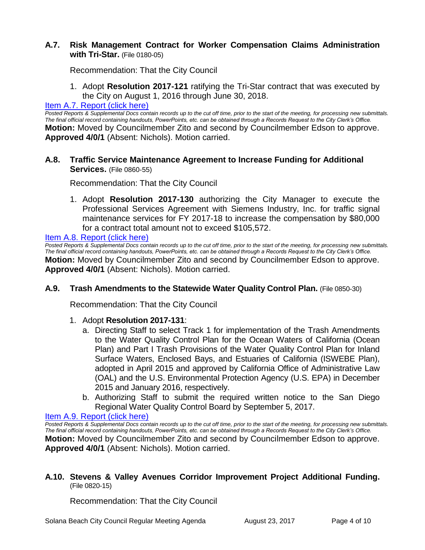## **A.7. Risk Management Contract for Worker Compensation Claims Administration with Tri-Star.** (File 0180-05)

Recommendation: That the City Council

1. Adopt **Resolution 2017-121** ratifying the Tri-Star contract that was executed by the City on August 1, 2016 through June 30, 2018.

#### [Item A.7. Report \(click here\)](https://solanabeach.govoffice3.com/vertical/Sites/%7B840804C2-F869-4904-9AE3-720581350CE7%7D/uploads/Item_A.7._Report_(click_here)_-_8-23-17.PDF)

*Posted Reports & Supplemental Docs contain records up to the cut off time, prior to the start of the meeting, for processing new submittals. The final official record containing handouts, PowerPoints, etc. can be obtained through a Records Request to the City Clerk's Office.* **Motion:** Moved by Councilmember Zito and second by Councilmember Edson to approve. **Approved 4/0/1** (Absent: Nichols). Motion carried.

## **A.8. Traffic Service Maintenance Agreement to Increase Funding for Additional Services.** (File 0860-55)

Recommendation: That the City Council

1. Adopt **Resolution 2017-130** authorizing the City Manager to execute the Professional Services Agreement with Siemens Industry, Inc. for traffic signal maintenance services for FY 2017-18 to increase the compensation by \$80,000 for a contract total amount not to exceed \$105,572.

[Item A.8. Report \(click here\)](https://solanabeach.govoffice3.com/vertical/Sites/%7B840804C2-F869-4904-9AE3-720581350CE7%7D/uploads/Item_A.8._Report_(click_here)_-_8-23-17.PDF)

*Posted Reports & Supplemental Docs contain records up to the cut off time, prior to the start of the meeting, for processing new submittals. The final official record containing handouts, PowerPoints, etc. can be obtained through a Records Request to the City Clerk's Office.* **Motion:** Moved by Councilmember Zito and second by Councilmember Edson to approve. **Approved 4/0/1** (Absent: Nichols). Motion carried.

#### **A.9. Trash Amendments to the Statewide Water Quality Control Plan.** (File 0850-30)

Recommendation: That the City Council

#### 1. Adopt **Resolution 2017-131**:

- a. Directing Staff to select Track 1 for implementation of the Trash Amendments to the Water Quality Control Plan for the Ocean Waters of California (Ocean Plan) and Part I Trash Provisions of the Water Quality Control Plan for Inland Surface Waters, Enclosed Bays, and Estuaries of California (ISWEBE Plan), adopted in April 2015 and approved by California Office of Administrative Law (OAL) and the U.S. Environmental Protection Agency (U.S. EPA) in December 2015 and January 2016, respectively.
- b. Authorizing Staff to submit the required written notice to the San Diego Regional Water Quality Control Board by September 5, 2017.

#### [Item A.9. Report \(click here\)](https://solanabeach.govoffice3.com/vertical/Sites/%7B840804C2-F869-4904-9AE3-720581350CE7%7D/uploads/Item_A.9._Report_(click_here)_-_8-23-17.PDF)

*Posted Reports & Supplemental Docs contain records up to the cut off time, prior to the start of the meeting, for processing new submittals. The final official record containing handouts, PowerPoints, etc. can be obtained through a Records Request to the City Clerk's Office.* **Motion:** Moved by Councilmember Zito and second by Councilmember Edson to approve. **Approved 4/0/1** (Absent: Nichols). Motion carried.

## **A.10. Stevens & Valley Avenues Corridor Improvement Project Additional Funding.** (File 0820-15)

Recommendation: That the City Council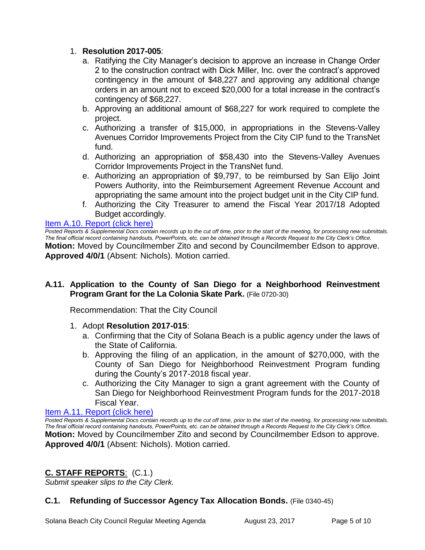## 1. **Resolution 2017-005**:

- a. Ratifying the City Manager's decision to approve an increase in Change Order 2 to the construction contract with Dick Miller, Inc. over the contract's approved contingency in the amount of \$48,227 and approving any additional change orders in an amount not to exceed \$20,000 for a total increase in the contract's contingency of \$68,227.
- b. Approving an additional amount of \$68,227 for work required to complete the project.
- c. Authorizing a transfer of \$15,000, in appropriations in the Stevens-Valley Avenues Corridor Improvements Project from the City CIP fund to the TransNet fund.
- d. Authorizing an appropriation of \$58,430 into the Stevens-Valley Avenues Corridor Improvements Project in the TransNet fund.
- e. Authorizing an appropriation of \$9,797, to be reimbursed by San Elijo Joint Powers Authority, into the Reimbursement Agreement Revenue Account and appropriating the same amount into the project budget unit in the City CIP fund.
- f. Authorizing the City Treasurer to amend the Fiscal Year 2017/18 Adopted Budget accordingly.

## [Item A.10. Report \(click here\)](https://solanabeach.govoffice3.com/vertical/Sites/%7B840804C2-F869-4904-9AE3-720581350CE7%7D/uploads/Item_A.10._Report_(click_here)_-_8-23-17.PDF)

**Posted Reports & Supplemental Docs contain records up to the cut off time, prior to the start of the meeting, for processing new submittals.** *The final official record containing handouts, PowerPoints, etc. can be obtained through a Records Request to the City Clerk's Office.* **Motion:** Moved by Councilmember Zito and second by Councilmember Edson to approve. **Approved 4/0/1** (Absent: Nichols). Motion carried.

## **A.11. Application to the County of San Diego for a Neighborhood Reinvestment Program Grant for the La Colonia Skate Park.** (File 0720-30)

Recommendation: That the City Council

- 1. Adopt **Resolution 2017-015**:
	- a. Confirming that the City of Solana Beach is a public agency under the laws of the State of California.
	- b. Approving the filing of an application, in the amount of \$270,000, with the County of San Diego for Neighborhood Reinvestment Program funding during the County's 2017-2018 fiscal year.
	- c. Authorizing the City Manager to sign a grant agreement with the County of San Diego for Neighborhood Reinvestment Program funds for the 2017-2018 Fiscal Year.

## [Item A.11. Report \(click here\)](https://solanabeach.govoffice3.com/vertical/Sites/%7B840804C2-F869-4904-9AE3-720581350CE7%7D/uploads/Item_A.11._Report_(click_here)_-_8-23-17.PDF)

*Posted Reports & Supplemental Docs contain records up to the cut off time, prior to the start of the meeting, for processing new submittals. The final official record containing handouts, PowerPoints, etc. can be obtained through a Records Request to the City Clerk's Office.* **Motion:** Moved by Councilmember Zito and second by Councilmember Edson to approve. **Approved 4/0/1** (Absent: Nichols). Motion carried.

## **C. STAFF REPORTS**: (C.1.)

*Submit speaker slips to the City Clerk.*

## **C.1. Refunding of Successor Agency Tax Allocation Bonds.** (File 0340-45)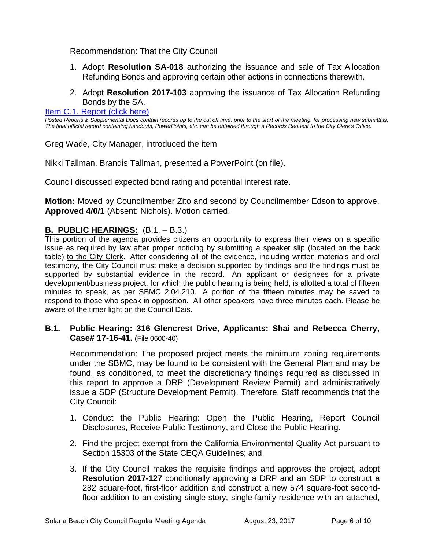Recommendation: That the City Council

- 1. Adopt **Resolution SA-018** authorizing the issuance and sale of Tax Allocation Refunding Bonds and approving certain other actions in connections therewith.
- 2. Adopt **Resolution 2017-103** approving the issuance of Tax Allocation Refunding Bonds by the SA.

[Item C.1. Report \(click here\)](https://solanabeach.govoffice3.com/vertical/Sites/%7B840804C2-F869-4904-9AE3-720581350CE7%7D/uploads/Item_C.1._Report_(click_here)_-_8-23-17.PDF)

*Posted Reports & Supplemental Docs contain records up to the cut off time, prior to the start of the meeting, for processing new submittals. The final official record containing handouts, PowerPoints, etc. can be obtained through a Records Request to the City Clerk's Office.*

Greg Wade, City Manager, introduced the item

Nikki Tallman, Brandis Tallman, presented a PowerPoint (on file).

Council discussed expected bond rating and potential interest rate.

**Motion:** Moved by Councilmember Zito and second by Councilmember Edson to approve. **Approved 4/0/1** (Absent: Nichols). Motion carried.

## **B. PUBLIC HEARINGS:** (B.1. – B.3.)

This portion of the agenda provides citizens an opportunity to express their views on a specific issue as required by law after proper noticing by submitting a speaker slip (located on the back table) to the City Clerk. After considering all of the evidence, including written materials and oral testimony, the City Council must make a decision supported by findings and the findings must be supported by substantial evidence in the record. An applicant or designees for a private development/business project, for which the public hearing is being held, is allotted a total of fifteen minutes to speak, as per SBMC 2.04.210. A portion of the fifteen minutes may be saved to respond to those who speak in opposition. All other speakers have three minutes each. Please be aware of the timer light on the Council Dais.

## **B.1. Public Hearing: 316 Glencrest Drive, Applicants: Shai and Rebecca Cherry, Case# 17-16-41.** (File 0600-40)

Recommendation: The proposed project meets the minimum zoning requirements under the SBMC, may be found to be consistent with the General Plan and may be found, as conditioned, to meet the discretionary findings required as discussed in this report to approve a DRP (Development Review Permit) and administratively issue a SDP (Structure Development Permit). Therefore, Staff recommends that the City Council:

- 1. Conduct the Public Hearing: Open the Public Hearing, Report Council Disclosures, Receive Public Testimony, and Close the Public Hearing.
- 2. Find the project exempt from the California Environmental Quality Act pursuant to Section 15303 of the State CEQA Guidelines; and
- 3. If the City Council makes the requisite findings and approves the project, adopt **Resolution 2017-127** conditionally approving a DRP and an SDP to construct a 282 square-foot, first-floor addition and construct a new 574 square-foot secondfloor addition to an existing single-story, single-family residence with an attached,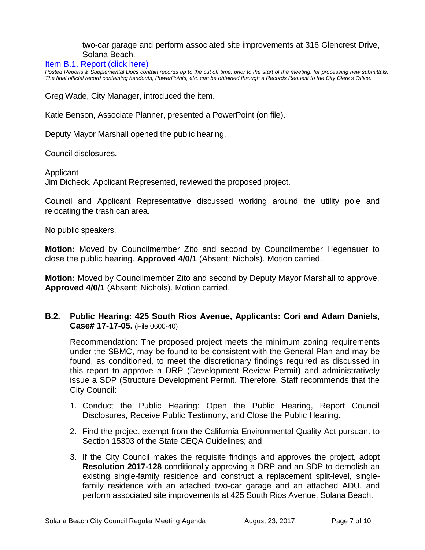two-car garage and perform associated site improvements at 316 Glencrest Drive, Solana Beach.

#### [Item B.1. Report \(click here\)](https://solanabeach.govoffice3.com/vertical/Sites/%7B840804C2-F869-4904-9AE3-720581350CE7%7D/uploads/Item_B.1._Report_(click_here)_-_8-23-17.PDF)

*Posted Reports & Supplemental Docs contain records up to the cut off time, prior to the start of the meeting, for processing new submittals. The final official record containing handouts, PowerPoints, etc. can be obtained through a Records Request to the City Clerk's Office.*

Greg Wade, City Manager, introduced the item.

Katie Benson, Associate Planner, presented a PowerPoint (on file).

Deputy Mayor Marshall opened the public hearing.

Council disclosures.

**Applicant** 

Jim Dicheck, Applicant Represented, reviewed the proposed project.

Council and Applicant Representative discussed working around the utility pole and relocating the trash can area.

No public speakers.

**Motion:** Moved by Councilmember Zito and second by Councilmember Hegenauer to close the public hearing. **Approved 4/0/1** (Absent: Nichols). Motion carried.

**Motion:** Moved by Councilmember Zito and second by Deputy Mayor Marshall to approve. **Approved 4/0/1** (Absent: Nichols). Motion carried.

## **B.2. Public Hearing: 425 South Rios Avenue, Applicants: Cori and Adam Daniels, Case# 17-17-05.** (File 0600-40)

Recommendation: The proposed project meets the minimum zoning requirements under the SBMC, may be found to be consistent with the General Plan and may be found, as conditioned, to meet the discretionary findings required as discussed in this report to approve a DRP (Development Review Permit) and administratively issue a SDP (Structure Development Permit. Therefore, Staff recommends that the City Council:

- 1. Conduct the Public Hearing: Open the Public Hearing, Report Council Disclosures, Receive Public Testimony, and Close the Public Hearing.
- 2. Find the project exempt from the California Environmental Quality Act pursuant to Section 15303 of the State CEQA Guidelines; and
- 3. If the City Council makes the requisite findings and approves the project, adopt **Resolution 2017-128** conditionally approving a DRP and an SDP to demolish an existing single-family residence and construct a replacement split-level, singlefamily residence with an attached two-car garage and an attached ADU, and perform associated site improvements at 425 South Rios Avenue, Solana Beach.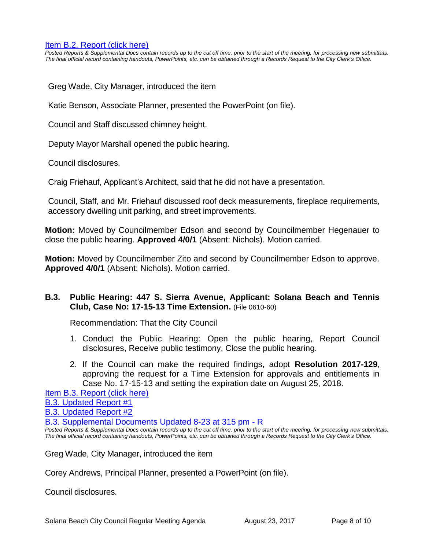#### [Item B.2. Report \(click here\)](https://solanabeach.govoffice3.com/vertical/Sites/%7B840804C2-F869-4904-9AE3-720581350CE7%7D/uploads/Item_B.2._Report_(click_here)_-_8-23-17.PDF)

*Posted Reports & Supplemental Docs contain records up to the cut off time, prior to the start of the meeting, for processing new submittals. The final official record containing handouts, PowerPoints, etc. can be obtained through a Records Request to the City Clerk's Office.*

Greg Wade, City Manager, introduced the item

Katie Benson, Associate Planner, presented the PowerPoint (on file).

Council and Staff discussed chimney height.

Deputy Mayor Marshall opened the public hearing.

Council disclosures.

Craig Friehauf, Applicant's Architect, said that he did not have a presentation.

Council, Staff, and Mr. Friehauf discussed roof deck measurements, fireplace requirements, accessory dwelling unit parking, and street improvements.

**Motion:** Moved by Councilmember Edson and second by Councilmember Hegenauer to close the public hearing. **Approved 4/0/1** (Absent: Nichols). Motion carried.

**Motion:** Moved by Councilmember Zito and second by Councilmember Edson to approve. **Approved 4/0/1** (Absent: Nichols). Motion carried.

## **B.3. Public Hearing: 447 S. Sierra Avenue, Applicant: Solana Beach and Tennis Club, Case No: 17-15-13 Time Extension.** (File 0610-60)

Recommendation: That the City Council

- 1. Conduct the Public Hearing: Open the public hearing, Report Council disclosures, Receive public testimony, Close the public hearing.
- 2. If the Council can make the required findings, adopt **Resolution 2017-129**, approving the request for a Time Extension for approvals and entitlements in Case No. 17-15-13 and setting the expiration date on August 25, 2018.

[Item B.3. Report \(click here\)](https://solanabeach.govoffice3.com/vertical/Sites/%7B840804C2-F869-4904-9AE3-720581350CE7%7D/uploads/Item_B.3._Report_(click_here)_-_8-23-17.PDF) [B.3. Updated Report #1](https://solanabeach.govoffice3.com/vertical/Sites/%7B840804C2-F869-4904-9AE3-720581350CE7%7D/uploads/B.3._Updated_Report_1_-_8-23-17.pdf)

[B.3. Updated Report #2](https://solanabeach.govoffice3.com/vertical/Sites/%7B840804C2-F869-4904-9AE3-720581350CE7%7D/uploads/B.3._Updated_Report_2_-_8-23-17.pdf)

[B.3. Supplemental Documents](https://solanabeach.govoffice3.com/vertical/Sites/%7B840804C2-F869-4904-9AE3-720581350CE7%7D/uploads/B.3._Supplemental_Documents_-_Updated_8-23_at_315pm_-_R.pdf) Updated 8-23 at 315 pm - R

*Posted Reports & Supplemental Docs contain records up to the cut off time, prior to the start of the meeting, for processing new submittals. The final official record containing handouts, PowerPoints, etc. can be obtained through a Records Request to the City Clerk's Office.*

Greg Wade, City Manager, introduced the item

Corey Andrews, Principal Planner, presented a PowerPoint (on file).

Council disclosures.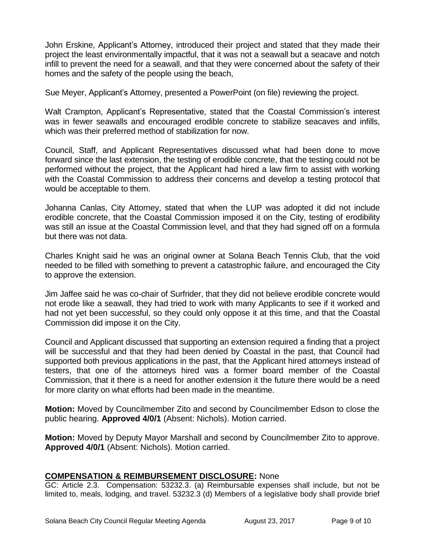John Erskine, Applicant's Attorney, introduced their project and stated that they made their project the least environmentally impactful, that it was not a seawall but a seacave and notch infill to prevent the need for a seawall, and that they were concerned about the safety of their homes and the safety of the people using the beach,

Sue Meyer, Applicant's Attorney, presented a PowerPoint (on file) reviewing the project.

Walt Crampton, Applicant's Representative, stated that the Coastal Commission's interest was in fewer seawalls and encouraged erodible concrete to stabilize seacaves and infills, which was their preferred method of stabilization for now.

Council, Staff, and Applicant Representatives discussed what had been done to move forward since the last extension, the testing of erodible concrete, that the testing could not be performed without the project, that the Applicant had hired a law firm to assist with working with the Coastal Commission to address their concerns and develop a testing protocol that would be acceptable to them.

Johanna Canlas, City Attorney, stated that when the LUP was adopted it did not include erodible concrete, that the Coastal Commission imposed it on the City, testing of erodibility was still an issue at the Coastal Commission level, and that they had signed off on a formula but there was not data.

Charles Knight said he was an original owner at Solana Beach Tennis Club, that the void needed to be filled with something to prevent a catastrophic failure, and encouraged the City to approve the extension.

Jim Jaffee said he was co-chair of Surfrider, that they did not believe erodible concrete would not erode like a seawall, they had tried to work with many Applicants to see if it worked and had not yet been successful, so they could only oppose it at this time, and that the Coastal Commission did impose it on the City.

Council and Applicant discussed that supporting an extension required a finding that a project will be successful and that they had been denied by Coastal in the past, that Council had supported both previous applications in the past, that the Applicant hired attorneys instead of testers, that one of the attorneys hired was a former board member of the Coastal Commission, that it there is a need for another extension it the future there would be a need for more clarity on what efforts had been made in the meantime.

**Motion:** Moved by Councilmember Zito and second by Councilmember Edson to close the public hearing. **Approved 4/0/1** (Absent: Nichols). Motion carried.

**Motion:** Moved by Deputy Mayor Marshall and second by Councilmember Zito to approve. **Approved 4/0/1** (Absent: Nichols). Motion carried.

## **COMPENSATION & REIMBURSEMENT DISCLOSURE:** None

GC: Article 2.3. Compensation: 53232.3. (a) Reimbursable expenses shall include, but not be limited to, meals, lodging, and travel. 53232.3 (d) Members of a legislative body shall provide brief